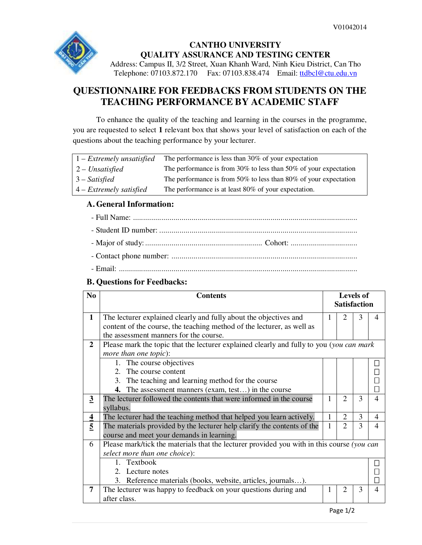

## **CANTHO UNIVERSITY QUALITY ASSURANCE AND TESTING CENTER**

Address: Campus II, 3/2 Street, Xuan Khanh Ward, Ninh Kieu District, Can Tho Telephone: 07103.872.170 Fax: 07103.838.474 Email: ttdbcl@ctu.edu.vn

## **QUESTIONNAIRE FOR FEEDBACKS FROM STUDENTS ON THE TEACHING PERFORMANCE BY ACADEMIC STAFF**

To enhance the quality of the teaching and learning in the courses in the programme, you are requested to select **1** relevant box that shows your level of satisfaction on each of the questions about the teaching performance by your lecturer.

| $1 - Extremely$ unsatisfied | The performance is less than 30% of your expectation             |
|-----------------------------|------------------------------------------------------------------|
| $2$ – Unsatisfied           | The performance is from 30% to less than 50% of your expectation |
| $3 - Satisfied$             | The performance is from 50% to less than 80% of your expectation |
| $4$ – Extremely satisfied   | The performance is at least 80% of your expectation.             |

### **A. General Information:**

### **B. Questions for Feedbacks:**

| N <sub>0</sub>          | <b>Contents</b>                                                                                                                                                                       |   | <b>Levels of</b><br><b>Satisfaction</b> |   |                |  |  |  |
|-------------------------|---------------------------------------------------------------------------------------------------------------------------------------------------------------------------------------|---|-----------------------------------------|---|----------------|--|--|--|
| $\mathbf{1}$            | The lecturer explained clearly and fully about the objectives and<br>content of the course, the teaching method of the lecturer, as well as<br>the assessment manners for the course. |   | 2                                       | 3 | 4              |  |  |  |
| $\overline{2}$          | Please mark the topic that the lecturer explained clearly and fully to you (you can mark<br>more than one topic):                                                                     |   |                                         |   |                |  |  |  |
|                         | 1. The course objectives<br>2. The course content<br>3. The teaching and learning method for the course<br><b>4.</b> The assessment manners (exam, test) in the course                |   |                                         |   |                |  |  |  |
| $\overline{3}$          | The lecturer followed the contents that were informed in the course<br>syllabus.                                                                                                      |   | $\overline{2}$                          | 3 | $\overline{4}$ |  |  |  |
| $\overline{\mathbf{4}}$ | The lecturer had the teaching method that helped you learn actively.                                                                                                                  |   | $\overline{2}$                          | 3 | $\overline{4}$ |  |  |  |
| $\overline{5}$          | The materials provided by the lecturer help clarify the contents of the<br>course and meet your demands in learning.                                                                  | 1 | 2                                       | 3 | $\overline{4}$ |  |  |  |
| 6                       | Please mark/tick the materials that the lecturer provided you with in this course (you can<br>select more than one choice):                                                           |   |                                         |   |                |  |  |  |
|                         | 1. Textbook<br>2. Lecture notes<br>3. Reference materials (books, website, articles, journals).                                                                                       |   |                                         |   |                |  |  |  |
| $\overline{7}$          | The lecturer was happy to feedback on your questions during and<br>after class.                                                                                                       |   | 2                                       | 3 | $\overline{4}$ |  |  |  |